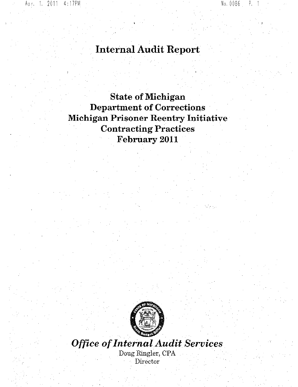# **Internal** Audit Report

**State of Michigan Department of Corrections Michigan Prisoner Reentry Initiative Contracting Practices February 2011**



*Office* of*InternalAudit Services* Doug Ringler, CPA, Director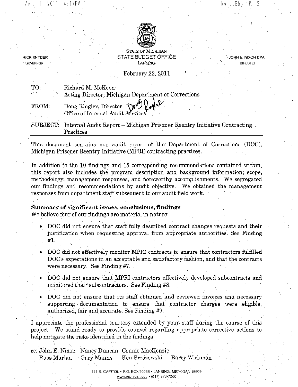RICK SNYDER GOVERNOR

JOHN E. NIXON CPA DIRECTOR



STATE OF MICHIGAN STATE BUDGET OFFICE LANSING

February 22, 2011

| TO:   | Richard M. McKeon                                                                              |  |
|-------|------------------------------------------------------------------------------------------------|--|
|       | Acting Director, Michigan Department of Corrections                                            |  |
| FROM: | Doug Ringler, Director Nevel 2014                                                              |  |
|       | SUBJECT: Internal Audit Report – Michigan Prisoner Reentry Initiative Contracting<br>Practices |  |

This document contains our audit report of the Department of Corrections (DOC), Michigan Prisoner Reentry Initiative (MPRI) contracting practices,

In addition to the 10 findings and 15 corresponding recommendations contained within, this report also includes the program description and background information; scope, ' methodology, management responses, and noteworthy accomplishments. We segregated our findings and recommendations by audit objective. We obtained the management responses from department staff subsequent to our audit field work.

## Summary of significant issues, conclusions, findings

. .

We believe four of our findings are material in nature:

- DOC did not ensure that staff fully described contract changes requests and their justification when requesting approval from appropriate authorities, See Finding #1.
- DOC did not effectively monitor MPRI contracts to ensure that contractors fulfilled DOC's expectations in an acceptable and satisfactory fashion, and that the contracts were necessary. See Finding #7.
- DOC did not ensure that MPRI contractors effectively developed subcontracts and monitored their subcontractors. See Finding #8.
- DOC did not ensure that its staff obtained and reviewed invoices and necessary supporting documentation to ensure that contractor charges were eligible, authorized, fair and accurate. See Finding #9.

I appreciate the professional courtesy extended by- your staff during the course of this project..We stand ready to provide counsel regarding appropriate corrective actions to help mitigate the risks identified in the findings,

|  | cc: John E. Nixon - Nancy Duncan - Connie MacKenzie - |  |
|--|-------------------------------------------------------|--|
|  | Russ Marlan Gary Manns Ken Brzozowski Barry Wickman   |  |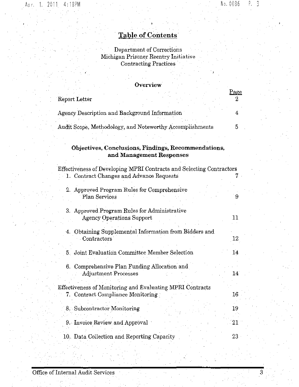Page

Э.

## **Table of Contents**

Department of Corrections Michigan Prisoner Reentry Initiative Contracting Practices

## **Overview**

| Report Letter |  |  |  |  |
|---------------|--|--|--|--|
|               |  |  |  |  |
|               |  |  |  |  |

| Agency Description and Background Information |                                                          |  |
|-----------------------------------------------|----------------------------------------------------------|--|
|                                               | Audit Scope, Methodology, and Noteworthy Accomplishments |  |

## **Objectives, Conclusions, Findings, Reconunendations, and Management Responses**

Effectiveness of Developing MPRI Contracts and Selecting Contractors l. Contract Changes and Advance Requests 7

- 2. Approved Program Rules for Comprehensive Plan Services **9**
- 3, Approved Program Rules for Administrative Agency Operations Support 11
- 4. Obtaining Supplemental Information from Bidders and Contractors 12
- 5. Joint Evaluation Committee Member Selection 14
- 6. Comprehensive Plan Funding Allocation and Adjustment Processes 14

## Effectiveness of Monitoring and Evaluating MPRI Contracts 7. Contract Compliance Monitoring and 16

8. Subcontractor Monitoring 19

9. Invoice Review, and Approval 21 and 21

10. Data Collection and Reporting Capacity 23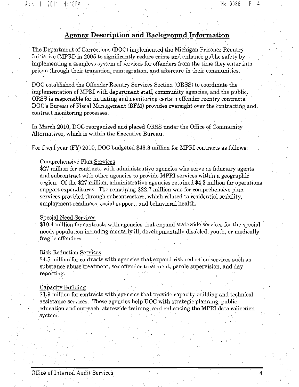## **Agency Description and Background Information**

The Department of Corrections (DOC) implemented the Michigan Prisoner Reentry Initiative (MPRI) in 2005 to significantly reduce crime and enhance public safety by implementing a seamless system of services for offenders from the time they enter into prison through their transition, reintegration, and aftercare in their communities.

DOC established the Offender Reentry Services Section (ORSS) to coordinate the, implementation of MPRI with department staff, community agencies, and the public, ORSS is responsible for initiating and monitoring certain offender reentry contracts. DOC's Bureau of Fiscal Management (BFM) provides oversight over the contracting and contract monitoring processes.

In March 2010, DOC reorganized and placed ORSS under the Office of Community Alternatives, which is within the Executive Bureau.

For fiscal year (FY) 2010, DOC budgeted \$43.8 million for MPRI contracts as follows

## Comprehensive Plan Services

\$27 million for contracts with administrative agencies who serve as fiduciary agents and subcontract with other agencies to provide MPRI services within a geographic region. Of the \$27 million, administrative agencies retained \$4.3 million for operations support expenditures. The remaining  $$22.7$  million was for comprehensive plan services provided through subcontractors, which related to residential stability, employment readiness, social support, and behavioral health.

#### Special Need Services

\$10.4 million for contracts with agencies that expand statewide services for the special needs population including mentally ill, developmentally disabled, youth, or medically fragile offenders.

#### Risk Reduction Services

\$4,5 million for contracts with agencies that expand risk reduction services such as substance abuse treatment, sex offender treatment, parole supervision, and day reporting.

## Capacity Byilding

\$1.9 million for contracts with agencies that provide capacity building and technical assistance services. These agencies help DOC with strategic planning, public education and outreach, statewide training, and enhancing the MPRl data collection system.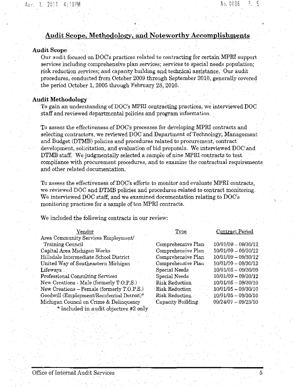## Audit Scope, Methodology, and Noteworthy Accomplishments

## Audit Scope

Our audit focused on DOC's practices related to contracting for certain MPRI support services including comprehensive plan services; services to special needs population; risk reduction services; and capacity building and technical assistance. Our audit procedures, conducted from October 2009 through September 2010, generally covered the period October 1, 2005 through February 28,2010.

## Audit Methodology ,

To gain an understanding of DOC's MPRI contracting practices, we interviewed DOC staff and reviewed departmental policies and program information. " '

To assess the effectiveness of DOC's processes for developing MPRI contracts and selecting contractors, we reviewed DOC and Department of Technology, Management and Budget (DTMB) policies and procedures related to procurement, contract development, solicitation, and evaluation of bid proposals. We interviewed DOC and DTMB staff. We judgmentally selected a sample of nine MPRI contracts to test compliance with procurement procedures, and to examine the contractual requirements and other related documentation.

To assess the effectiveness of DOC's efforts to monitor and evaluate MPRI contracts, we reviewed DOC and DTMB policies and procedures related to contract monitoring. We interviewed DOC staff, and we examined documentation relating to DOC's monitoring practices for a sample of ten MPRI contracts.

We included the following contracts in our review:

| - 1 |  |
|-----|--|
|     |  |

Area Community Services Employment/ Training Council Capital Area Michigan Works

Hillsdale Intermediate School District United Way of Southeastern Michigan Lifeways

Professional Consulting Services New Creations - Male (formerly T.O, P, S.) New Creations - Female (formerly T.O.P.S.) Goodwill (Employment/Residential Detroit)\* Michigan Council on Crime & Delinquency \* included in audit objective #2 only

Contract Period

| Comprehensive Plan    | $10/01/09 - 09/30/12$      |
|-----------------------|----------------------------|
| Comprehensive Plan    | 10/01/09 - 09/30/12        |
| Comprehensive Plan    | $10/01/09 - 09/30/12^{-1}$ |
| Comprehensive Plan    | $10/01/09 - 09/30/12$      |
| Special Needs         | $10/01/05 - 09/30/09$      |
| Special Needs         | $10/01/09 - 09/30/12$      |
| <b>Risk Reduction</b> | $10/01/05 - 09/30/10$      |
| <b>Risk Reduction</b> | $10/01/05 - 09/30/10$      |
| Risk Reduction        | 10/01/05 - 09/30/10        |
| Capacity Building     | $09/24/07 - 09/23/10$      |
|                       |                            |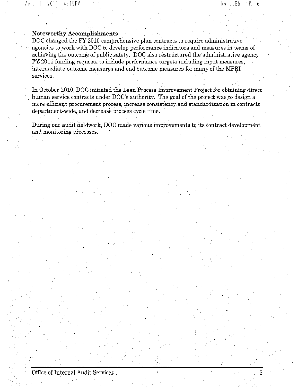## **Noteworthy Accomplishments**

DOC changed the FY 2010 comprehensive plan contracts to require administrative agencies to work with DOC to develop performance indicators and measures in terms of achieving the outcome of public safety. DOC also restructured the administrative agency FY 2011 funding requests to include performance targets including input measures, intermediate outcome measures and end outcome measures for many of the MPRI services.

In October 2010, DOC initiated the Lean Process Improvement Project for obtaining direct human service contracts under DOC's authority. The goal of the project was to design a more efficient procurement process, increase consistency and standardization in contracts department-wide, and decrease process cycle time.

During our audit fieldwork, DOC made various improvements to its contract development and monitoring processes.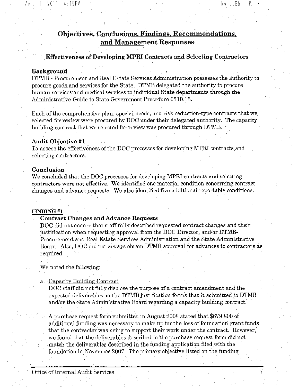## Objectives, Conclusions. Findings, Recommendations, and Management Responses

, ,Effectiveness of Developing MPRI Contracts and Selecting Contractors

## Background

DTMB - Procurement and Real Estate Services Administration possesses the authority to procure goods and services for the State. DTMB delegated the authority to procure human services and medical services to individual State departments through the Adininistrative Guide to State Government Procedure 0510.15.

Each of the comprehensive plan, special needs, and risk reduction-type contracts that we selected for review were procured by DOC under their delegated authority. The capacity building contract that we selected for review was procured through DTMB.

### Audit Objective #l

To assess the effectiveness of the DOC processes for developing MPRI contracts and selecting contractors.

#### Conclusion

We concluded that the DOC processes for developing MPRlcontracts and selecting contractors were not effective. We identified one material condition concerning contract changes and advance requests. We also identified five additional reportable conditions.

## FINDING #1

## Contract Changes and Advance Requests

, DOC did not ensure that staff fully described requested contract changes and their justification when requesting approval from the DOC Director, and/or DTMB-Procurement and Real Estate Services Administration and the State Administrative Board. Also, DOC did not always obtain DTMB approval for advances to contractors as required.

We noted the following:

a. Capacity Building Contract

DOC staff did not fully disclose the purpose of a contract amendment and the expected deliverables on the DTMB justification forms that it submitted to DTMB and/or the State Administrative Board regarding a capacity building contract.

A purchase request form submitted in August 2008 stated that \$679,800 of additional funding was necessary to make up for the loss of foundation grant funds that the contractor was using to support their work under the contract, However, we found that the deliverables described in the purchase request form did not match the deliverables described in the funding application filed with the foundation in November 2007, The primary objective listed on the funding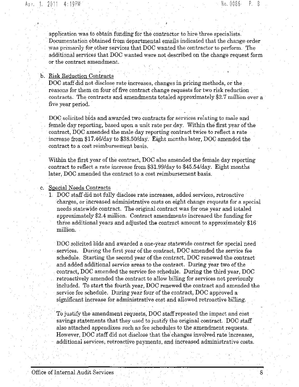application was to obtain funding for the contractor to hire three specialists, , Documentation obtained from departmental emails indicated that the change order was primarily for other services that DOC wanted the contractor to perform. The additional services that DOC wanted were not described on the change request form or the contract amendment.

## , b. Risk Reduction Contracts

DOC staff did not disclose rate increases, changes in pricing methods, or the reasons for them on four of five contract change requests for two risk reduction contracts. The contracts and amendments totaled approximately \$2.7 million over a five year period.

DOC solicited bids and awarded two contracts for services relating to male and female day reporting, based upon a unit rate per day. Within the first year of the contract, DOC amended the male day reporting contract twice to reflect a rate increase from \$17.46/day to \$38.50/day. Eight months later, DOC amended the contract to a cost reimbursement basis.

Within the first year of the contract, DOC also amended the female day reporting contract to reflect a rate increase from \$31.99/day to \$45.54/day. Eight months later, DOC amended the contract to a cost reimbursement basis,

## c. Special Needs Contracts

1. DOC staff did not fully disclose rate increases, added services, retroactive charges, Or increased administrative costs on eight change requests for a special needs statewide contract. The original contract was for one year and totaled approximately \$2.4 million. Contract amendments increased the funding for three additional years and adjusted the contract amount to approximately  $$16$ million. '

DOC solicited bids and awarded a one-year statewide contract for special need services. During the first year of the contract, DOC amended the service fee schedule. Starting the second year of the contract, DOC renewed the contract and added additional service areas to the contract. During year two of the contract, DOC amended the service fee schedule. During the third year, DOC retroactively amended the contract to allow billing for services not previously included. To start the fourth year, DOC renewed the contract and amended the service fee schedule. During year four of the contract, DOC approved a significant increase for administrative cost and allowed retroactive billing, ,

,To justify the amendment requests, DOC staffrepeated the impact and cost savings statements that they used to justify the original contract. DOC staff also attached appendixes such as fee schedules to the amendment requests. However, DOC staff did not disclose that the' changes involved rate increases, additional services, retroactive payments, and increased administrative costs.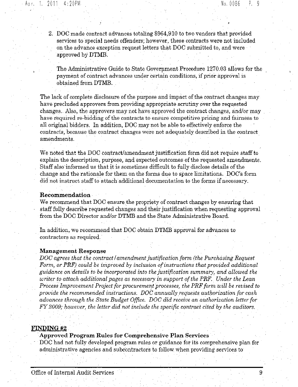2. DOC made contract advances totaling \$964,910 to two vendors that provided services to special needs offenders; however, these contracts were not included on the advance exception request letters that DOC submitted to, and were approved by DTMB.

The Administrative Guide to State Government Procedure 1270.03 allows for the payment of contract advances under certain conditions, if prior approval is obtained from DTMB.

The lack of complete disclosure of the purpose and impact of the contract changes may have precluded approvers from providing appropriate scrutiny over the requested changes. Also, the approvers may not have approved the contract changes, and/or may have required re-bidding of the contracts to ensure competitive pricing and fairness to all original bidders. In addition, DOC may not be able to effectively enforce the contracts, because the contract changes were not adequately described in the contract amendments.

We noted that the DOC contract/amendment justification form did not require staff to explain the description, purpose, and expected outcomes of the requested amendments. Staff also informed us that it is sometimes difficult to fully disclose details ofthe change and the rationale for them on the forms due to space limitations. DOC's form did not instruct staff to attach additional documentation to the forms if necessary.

## Recommendation

We recommend that  $DOC$  ensure the propriety of contract changes by ensuring that staff fully describe requested changes and their justification when requesting approval from the DOC Director and/or DTMB and the State Administrative Board.

In addition, we recommend that DOC obtain DTMB approval for advances to contractors as required,

#### Management Response

*DOC agreesthat the contract* I*amendment justification form (the Purchasing Request Form,* or *PRF*) could be *improved* by *inclusion* of *instructions that* provided additional *guidance on details to be incorporated into the justification summary, and allowed the writer to attach additional pages as necessary in support ofthe PRF.' Under the Lean Process Improvement Project/or procuremeld processes, the PRF form will be revised to*  $p$ *rovide the recommended instructions. DOC annually requests authorization for cash advances through the State Budget Office. DOC did receive an authorization letter for FY 2009; however, the letter did not include the specific contract cited by the auditors.* . . .

### FINDING #2

#### Approved Program Rules for Comprehensive Plan Services

DOC had not fully developed program rules or guidance for its comprehensive plan for administrative agencies and subcontractors to follow when providing services to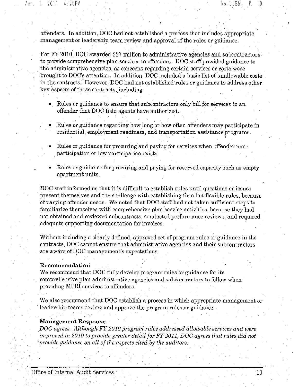offenders. In addition, DOC had not established a process that includes appropriate management or leadership team review and approval of the rules or guidance.

For FY 2010, DOC awarded \$27 million to administrative agencies and subcontractors to provide comprehensive plan services to offenders. DOC staff provided guidance to the administrative agencies, as concerns regarding certain services or costs were brought to DOC's attention. In addition, DOC included a basic list of unallowable costs in the contracts. However, DOC had not established rules or guidance to address other key aspects of these contracts, including:

- Rules or guidance to ensure that subcontractors only bill for services to an offender that DOC field agents have authorized.
- Rules or guidance regarding how long or how often offenders may participate in residential, employment readiness, and transportation assistance programs.
- Rules or guidance for procuring and paying for services when offender non-, participation or low participation exists.
- Rules or guidance for procuring and paying for reserved capacity such as empty apartment units.

DOC staffinformed us that it is difficult to establish rules until questions or issues present themselves and the challenge with establishing firm but flexible rules, because of varying offender needs. We noted that DOC staff had not taken sufficient steps to familiarize themselves with comprehensive plan service activities, because they had not obtained and reviewed subcontracts, conducted performance reviews, and required adequate supporting documentation for invoices.

Without including a clearly defined, approved set of program rules or guidance in the contracts, DOC cannot ensure that administrative agencies and their subcontractors are aware of DOC management's expectations.

## **Recommendation**

We recommend that DOC fully develop program rules or guidance for its comprehensive plan administrative agencies and subcontractors to follow when providing MPRI services to offenders.

We also recommend that DOC establish a process in which appropriate management or leadership teams review and approve the program rules or guidance.

#### **Management** Response

*DOC agrees. AlthoughFY2010program rules addressed allowable services and were* improv~d *in 2010 to provide greater detail forFY 2011, DOC agrees that rules did not provide* guidanc~ *on all ofthe aspects cited by the auditors.*

, ,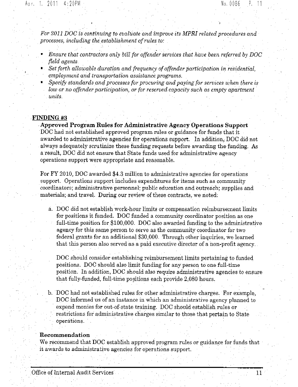*For* 2011 DOC is continuing to evaluate and improve its MPRI related procedures and *processes, including the establishment ofrules to: '*

- *• Ensure that contractors only bill for offender services that have been referred by DOC field agents*
- *• Set forth allowable duration and frequency ofoffender participation in residential,*  $employment$  and *transportation* assistance *programs*,
- *• Specify standardsand processes for procuring and paying for services when there is low or no offender participation,* or *for reserved capacity such* as *empty apartment units.*

#### FINDING #3

**Approved Program Rules for Administrative Agency Operations Support** DOC had not established approved program rules or guidance for funds that it awarded to administrative agencies for operations support. In addition, DOC did not always adequately scrutinize these funding requests before awarding the funding, As a result, DOC did not ensure that State funds used for administrative agency operations support were appropriate and reasonable.

For FY 2010, DOC awarded \$4.3 million to administrative agencies for operations support. Operations support includes expenditures for items such as community coordinators; administrative personnel; public education and outreach; supplies and materials; and travel. During our review of these contracts, we noted:

a. DOC did not establish work·hour limits or compensation reimbursement limits for positions it funded. DOC funded a community coordinator position as one full-time position for \$100,000. DOC also awarded funding to the administrative agency for this same person to serve as the community coordinator for two federal grants for an additional \$30,000. Through other inquiries, we learned that this person also served as a paid executive director of a non-profit agency.

DOC should consider establishing reimbursement limits pertaining to funded positions. DOC should also limit funding for any person to one full-time position. In addition, DOC should also require administrative agencies to ensure that fully-funded, full-time positions each provide  $2,080$  hours.

b. DOC had not established rules for other administrative charges. For example, DOC informed us of an instance in which an administrative agency planned to . expend monies for out-of-state training. DOC should establish rules or . restrictions for administrative charges similar to those that pertain to State operations.

### **Recommendation**

We recommend that DOC establish approved program rules or guidance for funds that it awards to administrative agencies for operations support. .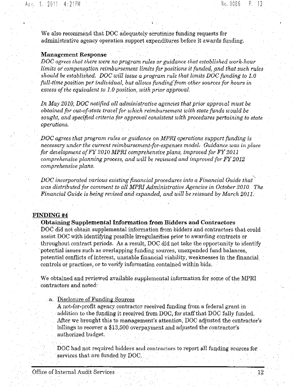We also recommend that DOC adequately scrutinize funding requests for administrative agency operation support expenditures before it awards funding.

#### **Management Response**

*DOC agrees that there were no program rules or guidance that established work-hour limits or compensation reimbursement limits for positions it funded, and that such rules should beestablis·hed. DOC will issue a program rule that limits DOC funding to 1.0 full-time position per individual, but allows fundingfrom other sources for hours in excess ofthe equivalent to 1,0 position, with prior approval.*

*In May 2010, DOC notified all administrative agencies that prior approval must be obtained for out-of-state travel for whIch* reimburs~ment *with* stat~funds *would be*  $s$ ought, and specified criteria for approval consistent with procedures pertaining to state *operations.*

*DOC agrees that program rules or guidance on MPRI operations support funding is necessary under* the *current reimbursement-for-expenses model.* Guidance was in place *for development ofFY 2010 MPRLcompreh.ensive plans, improved for FY 2011 comprehensive planning process, and will be reviewed and improved for*  $FY$  2012. *comprehensive plans.*

*DOC incorporated various existing financial procedures into a Financial Guide that" was distributed for comment to all MPRI Administrative Agencies in October 2010. The Financial Guide* is *being revised and expanded, and will be reissued by March 2011.*

#### FINDING #4

#### **Obtaining** Supplemental Information **from Bidders and COlitractors**

DOC did not obtain supplemental information from bidders and contractors that could assist **DOC** with identifying possible irregularities prior to awarding contracts or throughout contract periods. As a result, DOC did not take the opportunity to identify .potential issues such as overlapping funding sources, unexpended fund balances, potential conflicts of interest, unstable financial viability, weaknesses in the financial controls or practices, Or to verify information contained within bids.

We obtained and reviewed available supplemental information for some of the MPRI  $contractors and noted.$ 

a. Disclosure of Funding Sources

A not·for·profit agency contractor received funding from a federal grant in addition to the funding it received from DOC, for staffthat DOC fully funded. After we brought this to management's attention, DOC adjusted the contractor's billings to recover a  $$13,500$  overpayment and adjusted the contractor's Disclosure of Funding Sources<br>
A not-for-profit agency contractor received funding from a federal<br>
addition to the funding it received from DOC, for staff that DO<br>
After we brought this to management's attention, DOC adjus

DOC had not required bidders and contractors to report all funding sources for services that are funded by DOC.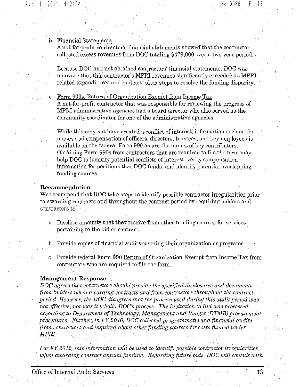#### b. Financial Statements

A not-for-profit contractor's financial statements showed that the contractor collected excess revenues from DOC totaling \$479,000 over a two-year period..

Because DOC had not obtained contractors' financial statements, DOC was unaware that this contractor's MPRI revenues significantly exceeded its MPRIrelated expenditures and had not taken steps to resolve the funding disparity.

c. Form 990s, Return of Organization Exempt from Income Tax A not-for-profit contractor that was responsible for reviewing the progress of **MPRI** administrative agencies had a board director who also served as the community coordinator for one of the administrative agencies.

While this may not have created a conflict of interest, information such as the names and compensation of officers, directors, trustees, and key employees is available on the federal Form 990 as are the names of key contributors, Obtaining Form 990s from contractors that are required to file the form may help DOC to identify potential conflicts of interest, verify compensation information for positions that DOC funds, and identify potential overlapping funding sources.

### **Recommendation**

We recommend that DOC take steps to identify possible contractor irregularities prior to awarding contracts and throughout the contract period by requiring bidders and contractors to:

a. Disclose amounts that they receive from other funding sources for services pertaining to the bid or contract.

b. Provide copies of financial audits covering their organization or programs.

c. Provide federal Form 990 Return of Organization Exempt from Income Tax from contractors who are required to file the form.

#### **Management Response**

*DOC agrees that contractors should provide the specified disclosures and documents from bidders when awarding contracts and from contractors throughout the contract period. However, the DOC disagrees that the process used during this audit period was not effective, nor was it wholly DOC's process. The Invitation to Bid was processed according to Department ofTechnology, Management and Budget (DTMB) procurement procedures. Further, in FY2010, DOC collected programmatic and financial audits from contractors and inquired about other funding sources for costs funded under MPRI.*

*For FY 2012, this information will be used to identify possible contractor irregularities* w~en *awarding contract annual funding, Regarding future bids, DOC will consult with*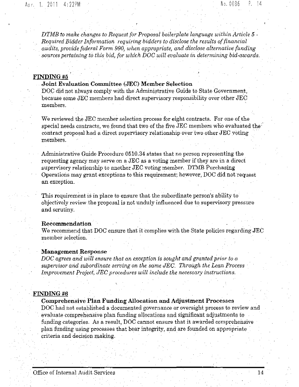*DTMB to make changes to Request for Proposal boilerplate language within Article* 5 - *, Required Bidder Information requiring bidders to disclose the results offinancial , audits, provide federal Form 990, when appropriate, and disclose alternative funding sources pertaining to this bid, for which DOC will evaluate in determining bid·awards.*

## FINDING #5

## **Joint Evaluation Committee (JEC) Member Selection**

DOC did not always comply with the Administrative Guide to State Government, because some JEG members had direct supervisory responsibility over other JEC members,

We reviewed the JEC member selection process for eight contracts. For one of the special needs contracts, we found that two of the five JEC members who evaluated the<sup>1</sup> contract proposal had a direct supervisory relationship over two other  $JEC$  voting members.

Administrative Guide Procedure  $0510.34$  states that no person representing the requesting agency may serve on a JEC as a voting member if they are in a direct supervisory relationship to another  $JEC$  voting member. DTMB Purchasing Operations may grant exceptions to this requirement; however, DOC did not request an exception. '

This requirement is in place to ensure that the subordinate person's ability to objectively review the proposal is not unduly influenced due to supervisory pressure and scrutiny.

#### **Recommendation**

We recommend that DOC ensure that it complies with the State policies regarding JEC member selection.

#### **Management Response**

*DOC agrees* and *will* ensure that an exception is sought and granted prior to a *supervisor and subordinate serving on the same JEC, Through the Lean Process Improvement Project, JEC procedures will include the necessary instructions.*

## FINDING #6

## **Comprehensive Plan Funding Allocation and** Adjustment Processes

DOC had not established a documented governance or oversight process to review and evaluate comprehensive plan funding allocations and significant adjustments to funding categories. As a result, DOC cannot ensure that **it** awarded comprehensive plan funding using processes that bear integrity, and are founded on appropriate criteria and decision.making. . .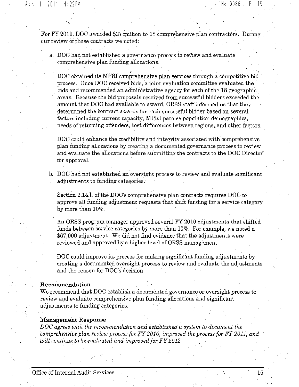For FY 2010, DOC awarded \$27 million to 18 comprehensive plan contractors. During our review ofthose contracts we noted:

a, DOC had not established a governance process to review and evaluate comprehensive plan funding allocations.

DOC obtained its MPRI comprehensive plan services through a competitive bid process. Once DOC received bids, a joint evaluation committee evaluated the bids and recommended an administrative agency for each of the 18 geographic areas. Because the bid proposals received from successful bidders exceeded the amount that DOC had available to award, ORSS staff informed us that they determined the contract awards for each successful bidder based on several factors including current capacity, MPRI parolee population demographics, needs of returning offenders, cost differences between regions, and other factors.

DOC could enhance the credibility and integrity associated with comprehensive plan funding allocations by creating a documented governance process to review and evaluate the allocations before submitting the contracts to the DOC Director' , for approval.

b. DOC had not established an oversight process to review and evaluate significant adjustments to funding categories.

Section 2.14.1. of the DOC's comprehensive plan contracts requires DOC to approve all funding adjustment requests that shift funding for a service category by more than 10%,

An ORSS program manager approved several FY 2010 adjustments that shifted funds between service categories by more than 10%. For example, we noted a \$67,000 adjustment. We did not find evidence that the adjustments were reviewed and approved by a higher level of ORSS management.

DOC could improve its process for making significant funding adjustments by creating a documented oversight process to review and evaluate the adjustments and the reason for DOC's decision.

### **Recommendation**

We recommend that DOC establish a documented governance or oversight process to review and evaluate comprehensive plan funding allocations and significant adjustments to funding categories.

## **Management** Response

*DOC agrees with the recommendation and established a system to document the comprehensive plan review process for FY 2010, improved the process for FY 2011, and will continue to be evaluated and improved for FY 2012,*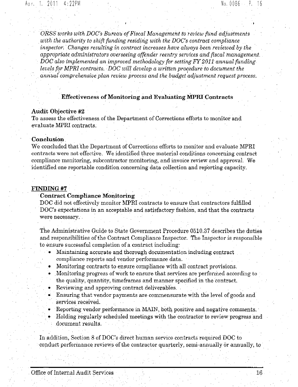*ORSS works with DOC's Bureau ofFiscal Management to review fund adjustments with the authority to shift funding residing with the DOC's contract compliance inspector:* ' *Changes resulting in contract increases have always been reviewed by the appropriate administrators overseeing offender reentry* services *and fiscal management, DOC also implemented an improved methodology for setting FY 2011 annual funding levels for MPR] contracts. DOC will develop a written procedure to document the annualcomprehensive plan review process and the budget'adjustment request process.*

## Effectiveness of Monitoring and Evaluating MPRI Contracts

#### Audit Objective #2

To assess the effectiveness of the Department of Corrections efforts to monitor and evaluate MPRI contracts.

## Conclusion,

We concluded that the Department of Corrections efforts to monitor and evaluate MPRI contracts were not effective, We identified three material conditions concerning contract compliance monitoring, subcontractor monitoring, and invoice review and approvaL We identified one reportable condition concerning data collection and reporting capacity.

#### FINDING #7

## Contract Compliance Monitoring

DOC did not effectively monitor MPRI contracts to ensure that contractors fulfilled DOC's expectations in an acceptable and satisfactory fashion, and that the contracts were necessary.

The Administrative Guide to State Government Procedure 0510.37 describes the duties and responsibilities of the Contract Compliance Inspector. The Inspector is responsible to ensure successful completion of a contract including:

- Maintaining accurate and thorough documentation including contract compliance reports and vendor performance data.
- Monitoring contracts to ensure compliance with all contract provisions,
- Monitoring progress of work to ensure that services are performed according to the quality, quantity, timeframes and manner specified in the contract.
- Reviewing and approving contract deliverables.
- Ensuring that vendor payments are commensurate with the level of goods and services received.
- Reporting vendor performance in MAIN, both positive and negative comments. • Holding regularly scheduled meetings with the contractor to review progress and
- document results.

In addition, Section 8 of DOC's direct human service contracts required DOC to conduct performance reviews of the contractor quarterly, semi-annually or annually, to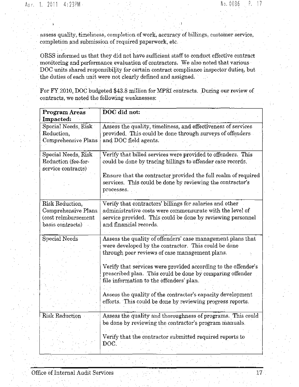assess quality, timeliness, completion of work, accuracy of billings, customer service, completion and submission of required paperwork, etc.

ORSS informed usthat they did not have sufficient staff to conduct effective contract monitoring and performance evaluation of contractors. We also noted that various DOC units shared responsibility for certain contract compliance inspector duties, but the duties of each unit were not clearly defined and assigned.

For FY2010, DOC budgeted \$43.8 million for MPRlcontracts. During our review of contracts, we noted the following weaknesses:

| <b>Program Areas</b>    | DOC did not:                                                   |
|-------------------------|----------------------------------------------------------------|
| Impacted:               |                                                                |
| $Special$ Needs, $Risk$ | Assess the quality, timeliness, and effectiveness of services  |
| Reduction,              | provided. This could be done through surveys of offenders.     |
|                         |                                                                |
| Comprehensive Plans     | and DOC field agents.                                          |
|                         |                                                                |
| Special Needs, Risk.    | Verify that billed services were provided to offenders. This   |
| Reduction (fee-for-     | could be done by tracing billings to offender case records.    |
| service contracts)      |                                                                |
|                         | Ensure that the contractor provided the full realm of required |
|                         |                                                                |
|                         | services. This could be done by reviewing the contractor's     |
|                         | processes.                                                     |
|                         |                                                                |
| Risk Reduction,         | Verify that contractors' billings for salaries and other       |
| Comprehensive Plans     | administrative costs were commensurate with the level of       |
| (cost reimbursement     | service provided. This could be done by reviewing personnel    |
|                         | and financial records.                                         |
| basis contracts)        |                                                                |
|                         |                                                                |
| Special Needs           | Assess the quality of offenders' case management plans that    |
|                         | were developed by the contractor. This could be done           |
|                         | through peer reviews of case management plans.                 |
|                         |                                                                |
|                         | Verify that services were provided according to the offender's |
|                         |                                                                |
|                         | prescribed plan. This could be done by comparing offender      |
|                         | file information to the offenders' plan.                       |
|                         |                                                                |
|                         | Assess the quality of the contractor's capacity development    |
|                         | efforts. This could be done by reviewing progress reports.     |
|                         |                                                                |
| <b>Risk Reduction</b>   | Assess the quality and thoroughness of programs. This could    |
|                         |                                                                |
|                         | be done by reviewing the contractor's program manuals.         |
|                         |                                                                |
|                         | Verify that the contractor submitted required reports to       |
|                         | DOC.                                                           |
|                         |                                                                |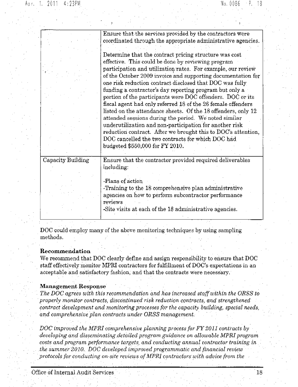|                   | Ensure that the services provided by the contractors were     |
|-------------------|---------------------------------------------------------------|
|                   | coordinated through the appropriate administrative agencies.  |
|                   |                                                               |
|                   | Determine that the contract pricing structure was cost        |
|                   | effective. This could be done by reviewing program            |
|                   | participation and utilization rates. For example, our review  |
|                   | of the October 2009 invoice and supporting documentation for  |
|                   | one risk reduction contract disclosed that DOC was fully      |
|                   | funding a contractor's day reporting program but only a       |
|                   | portion of the participants were DOC offenders. DOC or its    |
|                   | fiscal agent had only referred 18 of the 26 female offenders  |
|                   | listed on the attendance sheets. Of the 18 offenders, only 12 |
|                   | attended sessions during the period. We noted similar         |
|                   | underutilization and non-participation for another risk       |
|                   | reduction contract. After we brought this to DOC's attention, |
|                   | DOC cancelled the two contracts for which DOC had             |
|                   | budgeted \$550,000 for FY 2010.                               |
|                   |                                                               |
| Capacity Building | Ensure that the contractor provided required deliverables     |
|                   | including:                                                    |
|                   |                                                               |
|                   | -Plans of action                                              |
|                   | -Training to the 18 comprehensive plan administrative         |
|                   | agencies on how to perform subcontractor performance          |
|                   | reviews                                                       |
|                   | -Site visits at each of the 18 administrative agencies.       |
|                   |                                                               |

DOC could employ many of the above monitoring techniques by using sampling methods.

## Recommendation

We recommend that DOC clearly define and assign responsibility to ensure that DOC staff effectively monitor MPRI contractors for fulfillment of DOC's expectations in an acceptable and satisfactory fashion, and that the contracts were necessary.'

## Management Response

*The DOC agrees with this recommendation and has increased staffwithin the ORSS to properly monitor contracts,* discontinued *risk* reduction *contracts,* and *strengthened contract development and monitoring processes for the capacity building, special needs, and comprehensive plan contracts under ORSS management.*

*DOC improved the MPRI comprehensive planning process for FY 2011 contracts by developing* and *disseminating detailed program guidance* on allowable MPRI program *costs and program performance targets, and conducting annual contractor training in the summer2010. DOC developed improved programmatic and financial review ' protocols* for conducting on-site reviews of MPRI contractors with advice from the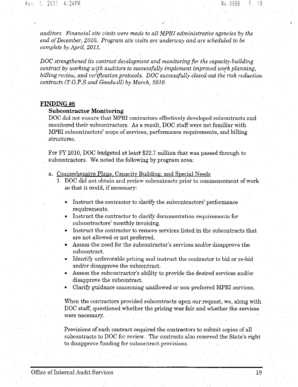*auditors. Financial site visits were made to all MPRI administrative agencies by the end ofDecember, 2010. Program site visits are underway and are scheduled to be complete by April, 2011.*

*DOC strengthened its contract development and monitoring for the capacity-building contract by working with auditors to successfully implement improved work planning, billing review,* and *verification* protocols. DOC successfully closed-out the risk reduction. *contracts (T.O.P.S atzd Goodwill) by March, 2010.*

#### FINDING #8

## **Subcontractor Monitoring**

DOC did not ensure that MPRI contractors effectively developed subcontracts and monitored their subcontractors. As a result, DOC staff were not familiar with MPRI subcontractors' scope of services, performance requirements, and billing structures.

For FY 2010, DOC budgeted at least \$22.7 million that was passed through to subcontractors. We noted the following by program area:

a. Comprehensive Plans, Capacity Building, and Special Needs

- i. DOC did not obtain and review subcontracts prior to commencement of work so that it could, if necessary:
	- Instruct the contractor to clarify the subcontractors' performance requirements.
	- Instruct the contractor to clarify documentation requirements for subcontractors' monthly invoicing.
	- Instruct the contractor to remove services listed in the subcontracts that are not allowed or not preferred.
	- Assess the need for the subcontractor's services and/or disapprove the subcontract.
	- Identify unfavorable pricing and instruct the contractor to bid or re-bid and/or disapprove the subcontract, '
	- Assess the subcontractor's ability to provide the desired services and/or disapprove the subcontract.
	- Clarify guidance concerning unallowed or non-preferred MPRI services.

When the contractors provided subcontracts upon our request, we, along with DOC staff, questioned whether the pricing was fair and whether the services were necessary..

Provisions of each contract required the contractors to submit copies of all subcontracts to DOC for review, The contracts also reserved the State's right to disapprove funding for subcontract provisions.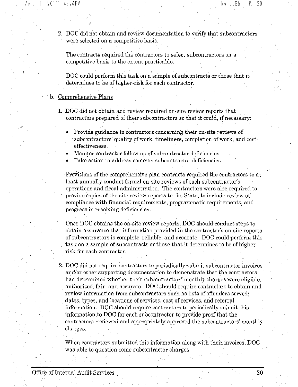2. DOC did not obtain and review documentation to verify that subcontractors were selected on a competitive basis. '

The contracts required the contractors to select subcontractors on a competitive basis to the extent practicable,

DOC could perform this task on a sample of subcontracts or those that it determines to be of higher·risk for each contractor,

## b, Comprehensive Plans

- 1. DOC did not obtain and review required on-site review reports that contractors prepared of their subcontractors so that it could, if necessary:
	- Provide guidance to contractors concerning their on-site reviews of subcontractors' quality of work, timeliness, completion of work, and costeffectiveness.
	- Monitor contractor follow up of subcontractor deficiencies.
	- Take action to address common subcontractor deficiencies.

Provisions of the comprehensive plan contracts required the contractors to at least annually conduct formal on-site reviews of each subcontractor's .operations and fiscal administration. The contractors were also required to provide copies of the site review reports to the State, to include review of compliance with financial requirements, programmatic requirements, and progress in resolving deficiencies.

Once DOC obtains the on-site review reports, DOC should conduct steps to obtain assurance that information provided in the contractor's on-site reports of subcontractors is complete, reliable, and accurate. DOC could perform this task on a sample of subcontracts or those that it determines to be of higherrisk for each contractor,

2. DOC did not require contractors to periodically submit subcontractor invoices and/or other supporting documentation to demonstrate that the contractors had determined whether their subcontractors' monthly charges were eligible, authorized, fair, and accurate. DOC should require contractors to obtain and review information from subcontractors such as lists of offenders served; dates, types, and locations of services, cost of services, and referral information. DOC should require contractors to periodically submit this information to DOC for each subcontractor to provide proofthat the contractors reviewed and appropriately approved the subcontractors' monthly charges.

When contractors submitted this information along with their invoices, DOC was able to question some subcontractor charges,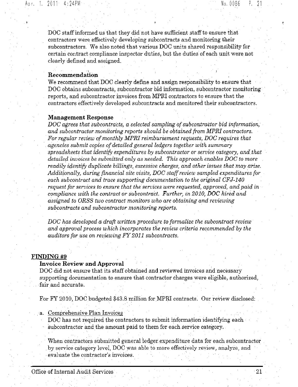DOC staff informed us that they did not have sufficient staff to ensure that contractors were effectively developing subcontracts and monitoring their subcontractors\_ We also noted that various DOC units shared responsibility for certain contract compliance inspector duties, but the duties of each unit were not clearly defined and assigned.

## I Recommendation

We recommend that DOC clearly define and assign responsibility to ensure that DOC obtains subcontracts, subcontractor bid information, subcontractor monitoring reports, and subcontractor invoices from MPRI contractors to ensure that the contractors effectively developed subcontracts and monitored their subcontractors.

#### Management Response

*DOC agrees that subcontracts, a selected sampling ofsubcontractor bid information, and subcontractor monitoring reports should be obtained from MPRI contractors. For regular rwiew ofmonthly MPRI reimbursement requests, DOC requires that agencies submit copies ofdetailed general ledgers together with summary spreadsheets that identify expenditures by subcontractor or service category, and that detailed invoices be submitted only as needed. This approach enables DOC to morereadily identify duplicate billings, excessive charges, and other issues that may arise. Additionally, during financial site visits, DOC staffreview sampled expenditures for each subcontract and trace supporting documentation to the original CFJ-140 request for services to ensure that the services were requested, approved, and paid in compliance with the contract or subcontract. Further, in 2010, DOC hired and assigned to ORSS two contract monitors who are obtaining and reviewing subcontracts and subcontractor monitoring reports.*

*DOC has developed a draft written procedure to formalize the subcontract review and approval process which incorporates the review criteria recommended by the auditors for use on reviewing FY 2011 subcontracts.*

## FINDING #9

## Invoice Review and Approval

DOC did not ensure that its staff obtained and reviewed invoices and necessary supporting documentation to ensure that contractor charges were eligible, authorized, fair and accurate.

For FY 2010, DOC budgeted \$43.8 million for MPRI contracts. Our review disclosed:

- a. Comprehensive Plan Invoices
	- DOC has not required the contractors to submit information identifying each subcontractor and the amount paid to them for each service category,

When contractors submitted general ledger expenditure data for each subcontractor by service category level, DOC was able to more effectively review, analyze, and .evaluate the contractor's invoices,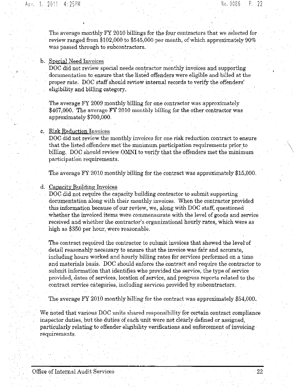The average monthly FY 2010 billings for the four contractors that we selected for review ranged from \$102,000 to \$545,000 per month, of which approximately  $90\%$ was passed through to subcontractors.

#### b. Special Need Invoices

DOC did not review special needs contractor monthly invoices and supporting documentation to ensure that the listed offenders were eligible and billed at the proper rate. DOC staff should review internal records to verify the offenders' eligibility and billing category.

The average FY 2009 monthly billing for one contractor was approximately  $$467,000$ . The average FY 2010 monthly billing for the other contractor was approximately \$700,000.

## c. Risk Reduction Invoices

DOC did not review the monthly invoices for one risk reduction contract to ensure that the listed offenders met the minimum participation requirements prior to billing. DOC should review,OMNI to verify that the offenders met the minimum participation requirements.

The average FY 2010 monthly billing for the contract was approximately \$15,000.

## d. Capacity Building Invoices

DOC did not require the capacity building contractor to submit supporting documentation along with their monthly invoices. When the contractor provided this information because of our review, we, along with DOC staff, questioned whether the invoiced items were commensurate with the level of goods and service received and whether the contractor's organizational hourly rates, which were as high as \$350 per hour, were reasonable.

The contract required the contractor to submit invoices that showed the level of detail reasonably necessary to ensure that the invoice was fair and accurate, including hours worked and hourly billing rates for services performed on a time and materials basis. DOC should enforce the contract and require the contractor to submit information that identifies who provided the service, the type of service provided, dates of services, location of service, and progress reports related to the contract service categories, including services provided by subcontractors.

The average FY 2010 monthly billing for the contract was approximately \$54,000. '

We noted that various DOC units shared responsibility for certain contract compliance inspector duties, but the duties of each unit were not clearly defined or assigned, particularly relating to offender eligibility verifications and enforcement of invoicing requirements.

 $\setminus$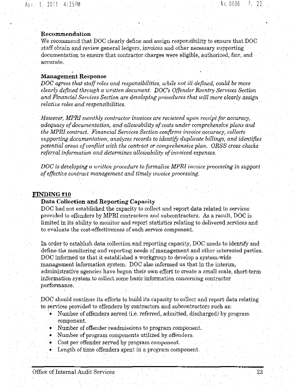## Recommendation

We recommend that DOC clearly define and assign responsibility to ensure that DOC staff obtain and review general ledgers, invoices and other necessary supporting documentation to ensure that contractor charges were eligible, authorized, fair, and ' accurate.

#### , Management Response

 $DOC$  *agrees that staff roles and responsibilities, while not ill-defined, could be more clearly defined through a written document. DOC's Offender Reentry Services Section and Financial Services Section are developing procedures that will more clearly assign relative roles and responsibilities.*

*However, MPRI monthly Contractor invoices are reviewed upon receipt for accuracy, adequacy ofdocumentation, and allowability ofcosts under comprehensive plans and the* MPm *contract. Financial Services Section confirms invoice accuracy, collects supporting documentation, analyzes records to identify duplicate billings, and identifies potential areas ofconfZict with the contract or comprehensiw plan, ORSS cross-checks referral information and determines allowability ofinvoiced expenses.*

*DOC is developing a written procedure to formalize MPRI invoice processing in support ofeffective contract management and timely Invoice prooessing.*

#### **FINDING**#10

## Data Collection and Reporting Capacity

DOC had not established the capacity to collect and report data related to services provided to offenders by MPRI contractors arid subcontractors. As a result, DOC is limited in its ability to monitor and report statistics relating to delivered services and to evaluate the cost-effectiveness of each service component.

In order to establish data collection and reporting capacity, DOC needs to identify and define the monitoring and reporting needs of management and other interested parties. DOC informed us that it established a workgroup to develop a system-wide management information system. DOC also informed us, that in the interim, administrative agencies have begun their own effort to create a small scale, short-term information system to collect some basic information concerning contractor performance.

DOC should continue its efforts to build its capacity to collect and report data relating to services provided to offenders by contractors and subcontractors such as:

- Number of offenders served (i.e. referred, admitted, discharged) by program component.
- Number of offender readmissions to program component. .
- Number of program components utilized by offenders.
- Cost per offender served by program component.
- Length of time offenders spent in a program component.